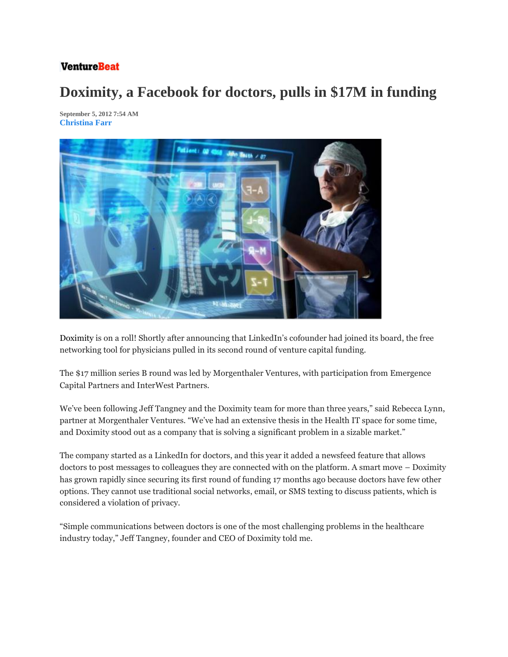## **VentureBeat**

## **Doximity, a Facebook for doctors, pulls in \$17M in funding**

**September 5, 2012 7:54 AM Christina Farr**



Doximity is on a roll! Shortly after announcing that LinkedIn's cofounder had joined its board, the free networking tool for physicians pulled in its second round of venture capital funding.

The \$17 million series B round was led by Morgenthaler Ventures, with participation from Emergence Capital Partners and InterWest Partners.

We've been following Jeff Tangney and the Doximity team for more than three years," said Rebecca Lynn, partner at Morgenthaler Ventures. "We've had an extensive thesis in the Health IT space for some time, and Doximity stood out as a company that is solving a significant problem in a sizable market."

The company started as a LinkedIn for doctors, and this year it added a newsfeed feature that allows doctors to post messages to colleagues they are connected with on the platform. A smart move – Doximity has grown rapidly since securing its first round of funding 17 months ago because doctors have few other options. They cannot use traditional social networks, email, or SMS texting to discuss patients, which is considered a violation of privacy.

"Simple communications between doctors is one of the most challenging problems in the healthcare industry today," Jeff Tangney, founder and CEO of Doximity told me.